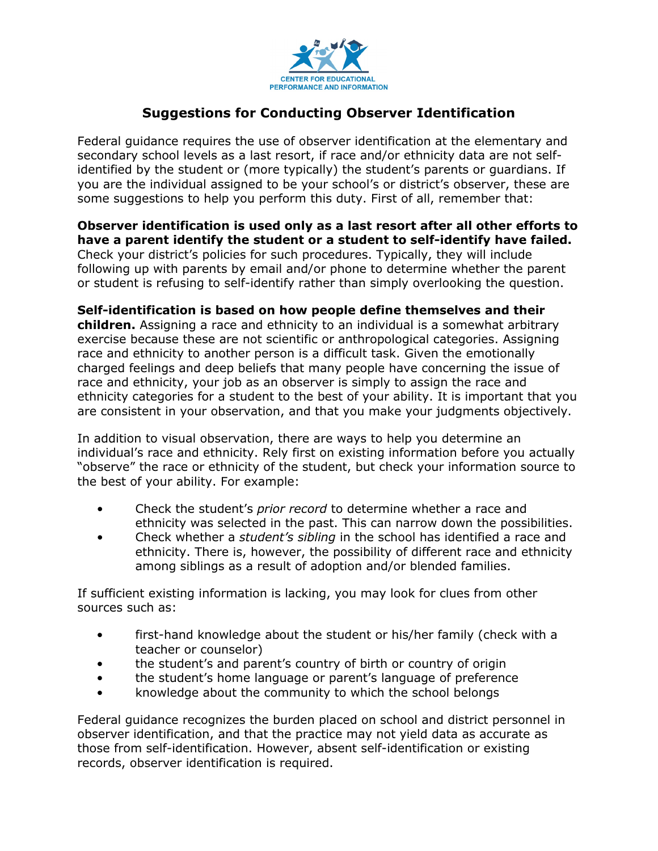

## **Suggestions for Conducting Observer Identification**

Federal guidance requires the use of observer identification at the elementary and secondary school levels as a last resort, if race and/or ethnicity data are not selfidentified by the student or (more typically) the student's parents or guardians. If you are the individual assigned to be your school's or district's observer, these are some suggestions to help you perform this duty. First of all, remember that:

## **Observer identification is used only as a last resort after all other efforts to have a parent identify the student or a student to self-identify have failed.**

Check your district's policies for such procedures. Typically, they will include following up with parents by email and/or phone to determine whether the parent or student is refusing to self-identify rather than simply overlooking the question.

## **Self-identification is based on how people define themselves and their**

**children.** Assigning a race and ethnicity to an individual is a somewhat arbitrary exercise because these are not scientific or anthropological categories. Assigning race and ethnicity to another person is a difficult task. Given the emotionally charged feelings and deep beliefs that many people have concerning the issue of race and ethnicity, your job as an observer is simply to assign the race and ethnicity categories for a student to the best of your ability. It is important that you are consistent in your observation, and that you make your judgments objectively.

In addition to visual observation, there are ways to help you determine an individual's race and ethnicity. Rely first on existing information before you actually "observe" the race or ethnicity of the student, but check your information source to the best of your ability. For example:

- Check the student's *prior record* to determine whether a race and ethnicity was selected in the past. This can narrow down the possibilities.
- Check whether a *student's sibling* in the school has identified a race and ethnicity. There is, however, the possibility of different race and ethnicity among siblings as a result of adoption and/or blended families.

If sufficient existing information is lacking, you may look for clues from other sources such as:

- first-hand knowledge about the student or his/her family (check with a teacher or counselor)
- the student's and parent's country of birth or country of origin
- the student's home language or parent's language of preference
- knowledge about the community to which the school belongs

Federal guidance recognizes the burden placed on school and district personnel in observer identification, and that the practice may not yield data as accurate as those from self-identification. However, absent self-identification or existing records, observer identification is required.